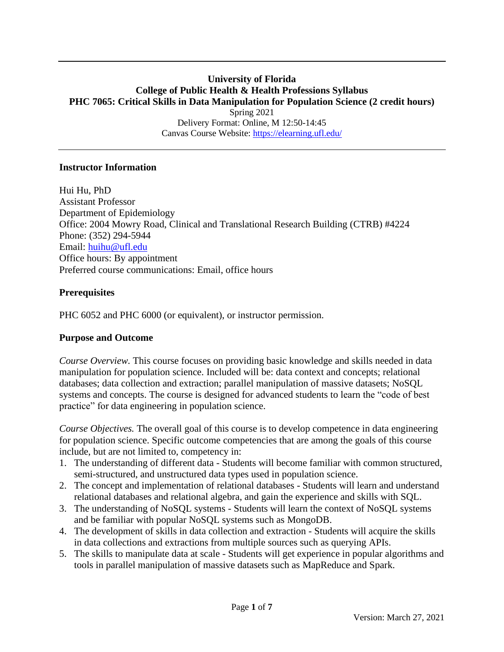#### **University of Florida College of Public Health & Health Professions Syllabus PHC 7065: Critical Skills in Data Manipulation for Population Science (2 credit hours)** Spring 2021 Delivery Format: Online, M 12:50-14:45 Canvas Course Website:<https://elearning.ufl.edu/>

#### **Instructor Information**

Hui Hu, PhD Assistant Professor Department of Epidemiology Office: 2004 Mowry Road, Clinical and Translational Research Building (CTRB) #4224 Phone: (352) 294-5944 Email: [huihu@ufl.edu](mailto:huihu@ufl.edu) Office hours: By appointment Preferred course communications: Email, office hours

### **Prerequisites**

PHC 6052 and PHC 6000 (or equivalent), or instructor permission.

### **Purpose and Outcome**

*Course Overview.* This course focuses on providing basic knowledge and skills needed in data manipulation for population science. Included will be: data context and concepts; relational databases; data collection and extraction; parallel manipulation of massive datasets; NoSQL systems and concepts. The course is designed for advanced students to learn the "code of best practice" for data engineering in population science.

*Course Objectives.* The overall goal of this course is to develop competence in data engineering for population science. Specific outcome competencies that are among the goals of this course include, but are not limited to, competency in:

- 1. The understanding of different data Students will become familiar with common structured, semi-structured, and unstructured data types used in population science.
- 2. The concept and implementation of relational databases Students will learn and understand relational databases and relational algebra, and gain the experience and skills with SQL.
- 3. The understanding of NoSQL systems Students will learn the context of NoSQL systems and be familiar with popular NoSQL systems such as MongoDB.
- 4. The development of skills in data collection and extraction Students will acquire the skills in data collections and extractions from multiple sources such as querying APIs.
- 5. The skills to manipulate data at scale Students will get experience in popular algorithms and tools in parallel manipulation of massive datasets such as MapReduce and Spark.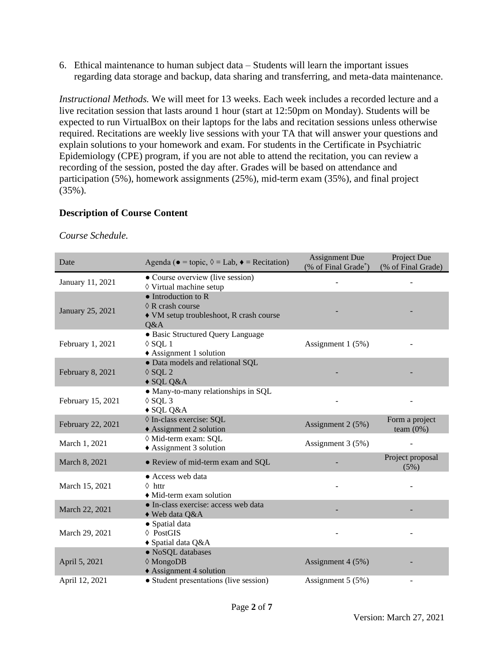6. Ethical maintenance to human subject data – Students will learn the important issues regarding data storage and backup, data sharing and transferring, and meta-data maintenance.

*Instructional Methods.* We will meet for 13 weeks. Each week includes a recorded lecture and a live recitation session that lasts around 1 hour (start at 12:50pm on Monday). Students will be expected to run VirtualBox on their laptops for the labs and recitation sessions unless otherwise required. Recitations are weekly live sessions with your TA that will answer your questions and explain solutions to your homework and exam. For students in the Certificate in Psychiatric Epidemiology (CPE) program, if you are not able to attend the recitation, you can review a recording of the session, posted the day after. Grades will be based on attendance and participation (5%), homework assignments (25%), mid-term exam (35%), and final project (35%).

### **Description of Course Content**

#### *Course Schedule.*

| Date              | Agenda ( $\bullet$ = topic, $\Diamond$ = Lab, $\bullet$ = Recitation)                                      | <b>Assignment Due</b><br>(% of Final Grade*) | Project Due<br>(% of Final Grade) |  |
|-------------------|------------------------------------------------------------------------------------------------------------|----------------------------------------------|-----------------------------------|--|
| January 11, 2021  | • Course overview (live session)<br>♦ Virtual machine setup                                                |                                              |                                   |  |
| January 25, 2021  | $\bullet$ Introduction to R<br>$\Diamond$ R crash course<br>• VM setup troubleshoot, R crash course<br>Q&A |                                              |                                   |  |
| February 1, 2021  | • Basic Structured Query Language<br>$\Diamond$ SQL 1<br>$\triangle$ Assignment 1 solution                 | Assignment 1 (5%)                            |                                   |  |
| February 8, 2021  | · Data models and relational SQL<br>$\Diamond$ SQL 2<br>$\triangle$ SQL Q&A                                |                                              |                                   |  |
| February 15, 2021 | • Many-to-many relationships in SQL<br>$\lozenge$ SQL 3<br>$\triangle$ SQL Q&A                             |                                              |                                   |  |
| February 22, 2021 | ◊ In-class exercise: SQL<br>$\triangle$ Assignment 2 solution                                              | Assignment 2 (5%)                            | Form a project<br>team $(0\%)$    |  |
| March 1, 2021     | ◊ Mid-term exam: SQL<br>$\triangle$ Assignment 3 solution                                                  | Assignment 3 (5%)                            |                                   |  |
| March 8, 2021     | • Review of mid-term exam and SQL                                                                          |                                              | Project proposal<br>(5%)          |  |
| March 15, 2021    | • Access web data<br>$\Diamond$ httr<br>$\triangle$ Mid-term exam solution                                 |                                              |                                   |  |
| March 22, 2021    | · In-class exercise: access web data<br>◆ Web data Q&A                                                     |                                              |                                   |  |
| March 29, 2021    | • Spatial data<br>$\lozenge$ PostGIS<br>◆ Spatial data Q&A                                                 |                                              |                                   |  |
| April 5, 2021     | • NoSQL databases<br>$\Diamond$ MongoDB<br>$\triangle$ Assignment 4 solution                               | Assignment 4 (5%)                            |                                   |  |
| April 12, 2021    | • Student presentations (live session)                                                                     | Assignment 5 (5%)                            |                                   |  |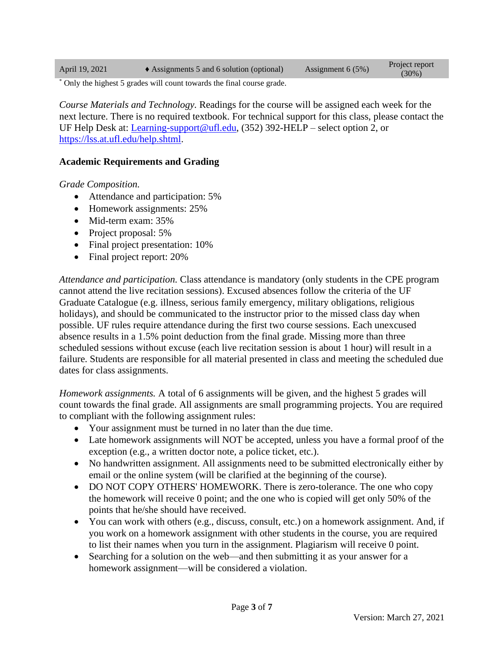April 19, 2021  $\bullet$  Assignments 5 and 6 solution (optional) Assignment 6 (5%) Project report (30%)

\* Only the highest 5 grades will count towards the final course grade.

*Course Materials and Technology.* Readings for the course will be assigned each week for the next lecture. There is no required textbook. For technical support for this class, please contact the UF Help Desk at: [Learning-support@ufl.edu,](mailto:Learning-support@ufl.edu) (352) 392-HELP – select option 2, or [https://lss.at.ufl.edu/help.shtml.](https://lss.at.ufl.edu/help.shtml)

### **Academic Requirements and Grading**

*Grade Composition.*

- Attendance and participation: 5%
- Homework assignments: 25%
- Mid-term exam: 35%
- Project proposal: 5%
- Final project presentation: 10%
- Final project report: 20%

*Attendance and participation.* Class attendance is mandatory (only students in the CPE program cannot attend the live recitation sessions). Excused absences follow the criteria of the UF Graduate Catalogue (e.g. illness, serious family emergency, military obligations, religious holidays), and should be communicated to the instructor prior to the missed class day when possible. UF rules require attendance during the first two course sessions. Each unexcused absence results in a 1.5% point deduction from the final grade. Missing more than three scheduled sessions without excuse (each live recitation session is about 1 hour) will result in a failure. Students are responsible for all material presented in class and meeting the scheduled due dates for class assignments.

*Homework assignments.* A total of 6 assignments will be given, and the highest 5 grades will count towards the final grade. All assignments are small programming projects. You are required to compliant with the following assignment rules:

- Your assignment must be turned in no later than the due time.
- Late homework assignments will NOT be accepted, unless you have a formal proof of the exception (e.g., a written doctor note, a police ticket, etc.).
- No handwritten assignment. All assignments need to be submitted electronically either by email or the online system (will be clarified at the beginning of the course).
- DO NOT COPY OTHERS' HOMEWORK. There is zero-tolerance. The one who copy the homework will receive 0 point; and the one who is copied will get only 50% of the points that he/she should have received.
- You can work with others (e.g., discuss, consult, etc.) on a homework assignment. And, if you work on a homework assignment with other students in the course, you are required to list their names when you turn in the assignment. Plagiarism will receive 0 point.
- Searching for a solution on the web—and then submitting it as your answer for a homework assignment—will be considered a violation.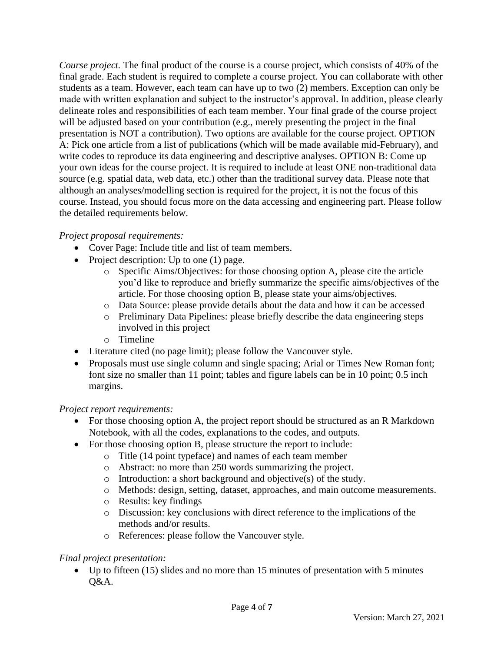*Course project.* The final product of the course is a course project, which consists of 40% of the final grade. Each student is required to complete a course project. You can collaborate with other students as a team. However, each team can have up to two (2) members. Exception can only be made with written explanation and subject to the instructor's approval. In addition, please clearly delineate roles and responsibilities of each team member. Your final grade of the course project will be adjusted based on your contribution (e.g., merely presenting the project in the final presentation is NOT a contribution). Two options are available for the course project. OPTION A: Pick one article from a list of publications (which will be made available mid-February), and write codes to reproduce its data engineering and descriptive analyses. OPTION B: Come up your own ideas for the course project. It is required to include at least ONE non-traditional data source (e.g. spatial data, web data, etc.) other than the traditional survey data. Please note that although an analyses/modelling section is required for the project, it is not the focus of this course. Instead, you should focus more on the data accessing and engineering part. Please follow the detailed requirements below.

# *Project proposal requirements:*

- Cover Page: Include title and list of team members.
- Project description: Up to one (1) page.
	- o Specific Aims/Objectives: for those choosing option A, please cite the article you'd like to reproduce and briefly summarize the specific aims/objectives of the article. For those choosing option B, please state your aims/objectives.
	- o Data Source: please provide details about the data and how it can be accessed
	- o Preliminary Data Pipelines: please briefly describe the data engineering steps involved in this project
	- o Timeline
- Literature cited (no page limit); please follow the Vancouver style.
- Proposals must use single column and single spacing; Arial or Times New Roman font; font size no smaller than 11 point; tables and figure labels can be in 10 point; 0.5 inch margins.

# *Project report requirements:*

- For those choosing option A, the project report should be structured as an R Markdown Notebook, with all the codes, explanations to the codes, and outputs.
- For those choosing option B, please structure the report to include:
	- o Title (14 point typeface) and names of each team member
	- o Abstract: no more than 250 words summarizing the project.
	- o Introduction: a short background and objective(s) of the study.
	- o Methods: design, setting, dataset, approaches, and main outcome measurements.
	- o Results: key findings
	- o Discussion: key conclusions with direct reference to the implications of the methods and/or results.
	- o References: please follow the Vancouver style.

# *Final project presentation:*

• Up to fifteen (15) slides and no more than 15 minutes of presentation with 5 minutes Q&A.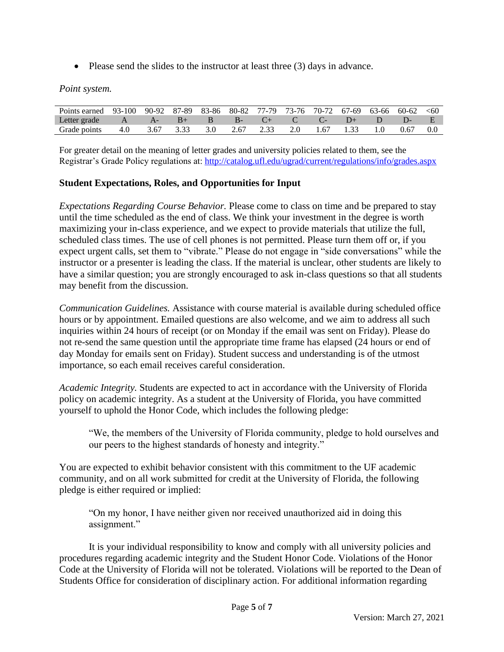• Please send the slides to the instructor at least three (3) days in advance.

#### *Point system.*

| Points earned 93-100 90-92 87-89 83-86 80-82 77-79 73-76 70-72 67-69 63-66 60-62 <60 |               |     |                                |           |               |                 |     |
|--------------------------------------------------------------------------------------|---------------|-----|--------------------------------|-----------|---------------|-----------------|-----|
| Letter grade                                                                         | $A B+$        |     | $\mathsf{B}$ B B C C C C D D D |           |               | $\triangle$ D-Z |     |
| Grade points                                                                         | 4.0 3.67 3.33 | 3.0 | 2.67 2.33 2.0                  | 1.67 1.33 | $1.0 \t 0.67$ |                 | 0.0 |

For greater detail on the meaning of letter grades and university policies related to them, see the Registrar's Grade Policy regulations at:<http://catalog.ufl.edu/ugrad/current/regulations/info/grades.aspx>

### **Student Expectations, Roles, and Opportunities for Input**

*Expectations Regarding Course Behavior.* Please come to class on time and be prepared to stay until the time scheduled as the end of class. We think your investment in the degree is worth maximizing your in-class experience, and we expect to provide materials that utilize the full, scheduled class times. The use of cell phones is not permitted. Please turn them off or, if you expect urgent calls, set them to "vibrate." Please do not engage in "side conversations" while the instructor or a presenter is leading the class. If the material is unclear, other students are likely to have a similar question; you are strongly encouraged to ask in-class questions so that all students may benefit from the discussion.

*Communication Guidelines.* Assistance with course material is available during scheduled office hours or by appointment. Emailed questions are also welcome, and we aim to address all such inquiries within 24 hours of receipt (or on Monday if the email was sent on Friday). Please do not re-send the same question until the appropriate time frame has elapsed (24 hours or end of day Monday for emails sent on Friday). Student success and understanding is of the utmost importance, so each email receives careful consideration.

*Academic Integrity.* Students are expected to act in accordance with the University of Florida policy on academic integrity. As a student at the University of Florida, you have committed yourself to uphold the Honor Code, which includes the following pledge:

"We, the members of the University of Florida community, pledge to hold ourselves and our peers to the highest standards of honesty and integrity."

You are expected to exhibit behavior consistent with this commitment to the UF academic community, and on all work submitted for credit at the University of Florida, the following pledge is either required or implied:

"On my honor, I have neither given nor received unauthorized aid in doing this assignment."

It is your individual responsibility to know and comply with all university policies and procedures regarding academic integrity and the Student Honor Code. Violations of the Honor Code at the University of Florida will not be tolerated. Violations will be reported to the Dean of Students Office for consideration of disciplinary action. For additional information regarding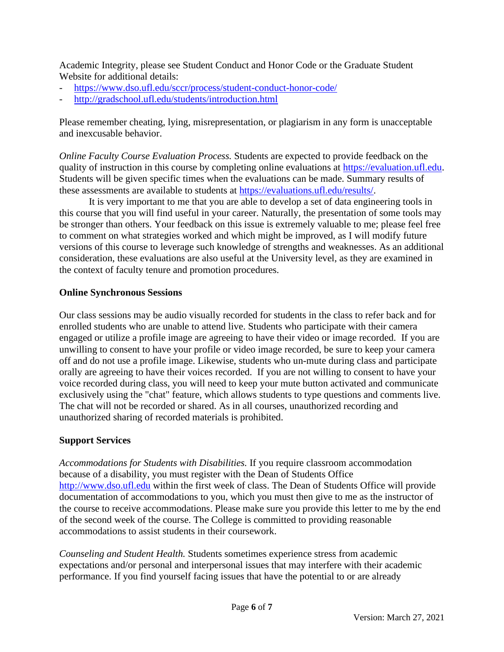Academic Integrity, please see Student Conduct and Honor Code or the Graduate Student Website for additional details:

- <https://www.dso.ufl.edu/sccr/process/student-conduct-honor-code/>
- <http://gradschool.ufl.edu/students/introduction.html>

Please remember cheating, lying, misrepresentation, or plagiarism in any form is unacceptable and inexcusable behavior.

*Online Faculty Course Evaluation Process.* Students are expected to provide feedback on the quality of instruction in this course by completing online evaluations at [https://evaluation.ufl.edu.](https://evaluation.ufl.edu/) Students will be given specific times when the evaluations can be made. Summary results of these assessments are available to students at [https://evaluations.ufl.edu/results/.](https://evaluations.ufl.edu/results/)

It is very important to me that you are able to develop a set of data engineering tools in this course that you will find useful in your career. Naturally, the presentation of some tools may be stronger than others. Your feedback on this issue is extremely valuable to me; please feel free to comment on what strategies worked and which might be improved, as I will modify future versions of this course to leverage such knowledge of strengths and weaknesses. As an additional consideration, these evaluations are also useful at the University level, as they are examined in the context of faculty tenure and promotion procedures.

### **Online Synchronous Sessions**

Our class sessions may be audio visually recorded for students in the class to refer back and for enrolled students who are unable to attend live. Students who participate with their camera engaged or utilize a profile image are agreeing to have their video or image recorded. If you are unwilling to consent to have your profile or video image recorded, be sure to keep your camera off and do not use a profile image. Likewise, students who un-mute during class and participate orally are agreeing to have their voices recorded. If you are not willing to consent to have your voice recorded during class, you will need to keep your mute button activated and communicate exclusively using the "chat" feature, which allows students to type questions and comments live. The chat will not be recorded or shared. As in all courses, unauthorized recording and unauthorized sharing of recorded materials is prohibited.

# **Support Services**

*Accommodations for Students with Disabilities.* If you require classroom accommodation because of a disability, you must register with the Dean of Students Office [http://www.dso.ufl.edu](http://www.dso.ufl.edu/) within the first week of class. The Dean of Students Office will provide documentation of accommodations to you, which you must then give to me as the instructor of the course to receive accommodations. Please make sure you provide this letter to me by the end of the second week of the course. The College is committed to providing reasonable accommodations to assist students in their coursework.

*Counseling and Student Health.* Students sometimes experience stress from academic expectations and/or personal and interpersonal issues that may interfere with their academic performance. If you find yourself facing issues that have the potential to or are already